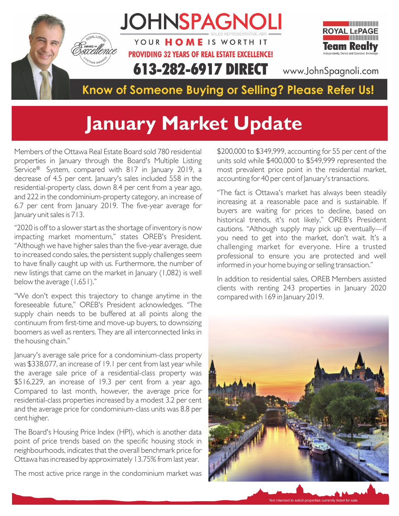

## **January Market Update**

Members of the Ottawa Real Estate Board sold 780 residential properties in January through the Board's Multiple Listing Service® System, compared with 817 in January 2019, a decrease of 4.5 per cent. January's sales included 558 in the residential-property class, down 8.4 per cent from a year ago, and 222 in the condominium-property category, an increase of 6.7 per cent from January 2019. The five-year average for January unit sales is 713.

"2020 is off to a slower start as the shortage of inventory is now impacting market momentum," states OREB's President. "Although we have higher sales than the five-year average, due to increased condo sales, the persistent supply challenges seem to have finally caught up with us. Furthermore, the number of new listings that came on the market in January (1,082) is well below the average (1,651)."

"We don't expect this trajectory to change anytime in the foreseeable future," OREB's President acknowledges. "The supply chain needs to be buffered at all points along the continuum from first-time and move-up buyers, to downsizing boomers as well as renters. They are all interconnected links in the housing chain."

January's average sale price for a condominium-class property was \$338,077, an increase of 19.1 per cent from last year while the average sale price of a residential-class property was \$516,229, an increase of 19.3 per cent from a year ago. Compared to last month, however, the average price for residential-class properties increased by a modest 3.2 per cent and the average price for condominium-class units was 8.8 per cent higher.

The Board's Housing Price Index (HPI), which is another data point of price trends based on the specific housing stock in neighbourhoods, indicates that the overall benchmark price for Ottawa has increased by approximately 13.75% from last year.

The most active price range in the condominium market was

\$200,000 to \$349,999, accounting for 55 per cent of the units sold while \$400,000 to \$549,999 represented the most prevalent price point in the residential market, accounting for 40 per cent of January's transactions.

"The fact is Ottawa's market has always been steadily increasing at a reasonable pace and is sustainable. If buyers are waiting for prices to decline, based on historical trends, it's not likely," OREB's President cautions. "Although supply may pick up eventually—if you need to get into the market, don't wait. It's a challenging market for everyone. Hire a trusted professional to ensure you are protected and well informed in your home buying or selling transaction."

In addition to residential sales, OREB Members assisted clients with renting 243 properties in January 2020 compared with 169 in January 2019.



Not intended to solicit properties currently listed for sale.

Not intended to solicit properties currently listed for sale.